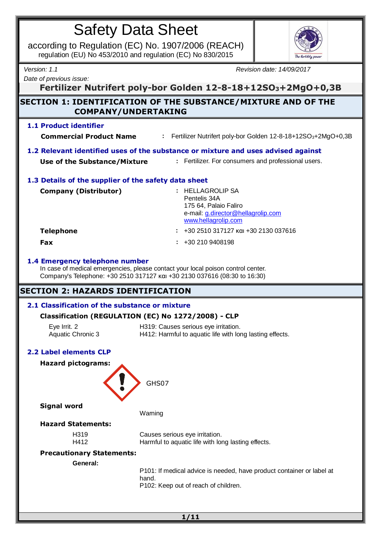according to Regulation (EC) No. 1907/2006 (REACH) regulation (EU) No 453/2010 and regulation (EC) No 830/2015



*Date of previous issue:*

*Version: 1.1 Revision date: 14/09/2017*

**Fertilizer Nutrifert poly-bor Golden 12-8-18+12SO3+2MgO+0,3B**

# **SECTION 1: IDENTIFICATION OF THE SUBSTANCE/MIXTURE AND OF THE COMPANY/UNDERTAKING**

## **1.1 Product identifier**

**Commercial Product Name :** Fertilizer Nutrifert poly-bor Golden 12-8-18+12SO3+2MgO+0,3B

# **1.2 Relevant identified uses of the substance or mixture and uses advised against**

**Use of the Substance/Mixture :** Fertilizer. For consumers and professional users.

## **1.3 Details of the supplier of the safety data sheet**

| <b>Company (Distributor)</b> | : HELLAGROLIP SA<br>Pentelis 34A<br>175 64, Palaio Faliro<br>e-mail: g.director@hellagrolip.com<br>www.hellagrolip.com |
|------------------------------|------------------------------------------------------------------------------------------------------------------------|
| <b>Telephone</b>             | $: 4302510317127$ kgi $+302130037616$                                                                                  |
| <b>Fax</b>                   | $\div$ +30 210 9408198                                                                                                 |

## **1.4 Emergency telephone number**

In case of medical emergencies, please contact your local poison control center. Company's Telephone: +30 2510 317127 και +30 2130 037616 (08:30 to 16:30)

# **SECTION 2: HAZARDS IDENTIFICATION**

# **2.1 Classification of the substance or mixture**

# **Classification (REGULATION (EC) No 1272/2008) - CLP**

| Eye Irrit. 2      | H319: Causes serious eye irritation.                     |
|-------------------|----------------------------------------------------------|
| Aquatic Chronic 3 | H412: Harmful to aquatic life with long lasting effects. |

# **2.2 Label elements CLP**



P101: If medical advice is needed, have product container or label at P102: Keep out of reach of children.

**1/11**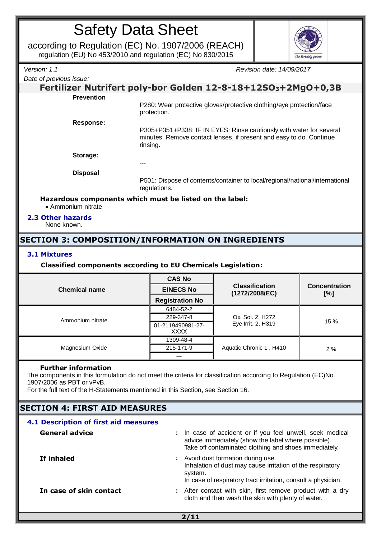according to Regulation (EC) No. 1907/2006 (REACH) regulation (EU) No 453/2010 and regulation (EC) No 830/2015



*Date of previous issue:*

*Version: 1.1 Revision date: 14/09/2017*

## **Fertilizer Nutrifert poly-bor Golden 12-8-18+12SO3+2MgO+0,3B Prevention**

P280: Wear protective gloves/protective clothing/eye protection/face protection.

**Response:**

P305+P351+P338: IF IN EYES: Rinse cautiously with water for several minutes. Remove contact lenses, if present and easy to do. Continue rinsing.

**Storage:**

**Disposal**

P501: Dispose of contents/container to local/regional/national/international regulations.

## **Hazardous components which must be listed on the label:**

---

Ammonium nitrate

#### **2.3 Other hazards**

None known.

# **SECTION 3: COMPOSITION/INFORMATION ON INGREDIENTS**

## **3.1 Mixtures**

## **Classified components according to EU Chemicals Legislation:**

|                      | <b>CAS No</b>                    |                                         |                             |  |
|----------------------|----------------------------------|-----------------------------------------|-----------------------------|--|
| <b>Chemical name</b> | <b>EINECS No</b>                 | <b>Classification</b><br>(1272/2008/EC) | <b>Concentration</b><br>[%] |  |
|                      | <b>Registration No</b>           |                                         |                             |  |
| Ammonium nitrate     | 6484-52-2                        |                                         | 15 %                        |  |
|                      | 229-347-8                        | Ox. Sol. 2, H272                        |                             |  |
|                      | 01-2119490981-27-<br><b>XXXX</b> | Eye Irrit. 2, H319                      |                             |  |
|                      | 1309-48-4                        |                                         | 2%                          |  |
| Magnesium Oxide      | 215-171-9                        | Aquatic Chronic 1, H410                 |                             |  |
|                      | ---                              |                                         |                             |  |

#### **Further information**

The components in this formulation do not meet the criteria for classification according to Regulation (EC)No. 1907/2006 as PBT or vPvB.

For the full text of the H-Statements mentioned in this Section, see Section 16.

# **SECTION 4: FIRST AID MEASURES**

| 4.1 Description of first aid measures |                                                                                                                                                                              |  |
|---------------------------------------|------------------------------------------------------------------------------------------------------------------------------------------------------------------------------|--|
| <b>General advice</b>                 | : In case of accident or if you feel unwell, seek medical<br>advice immediately (show the label where possible).<br>Take off contaminated clothing and shoes immediately.    |  |
| If inhaled                            | : Avoid dust formation during use.<br>Inhalation of dust may cause irritation of the respiratory<br>system.<br>In case of respiratory tract irritation, consult a physician. |  |
| In case of skin contact               | : After contact with skin, first remove product with a dry<br>cloth and then wash the skin with plenty of water.                                                             |  |

**2/11**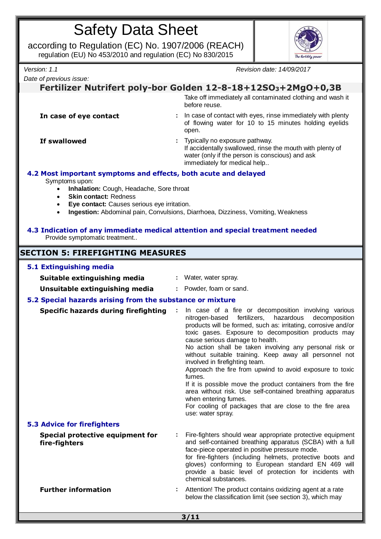according to Regulation (EC) No. 1907/2006 (REACH) regulation (EU) No 453/2010 and regulation (EC) No 830/2015



*Date of previous issue:*

*Version: 1.1 Revision date: 14/09/2017*

# **Fertilizer Nutrifert poly-bor Golden 12-8-18+12SO3+2MgO+0,3B**

Take off immediately all contaminated clothing and wash it before reuse.

**In case of eye contact :** In case of contact with eyes, rinse immediately with plenty of flowing water for 10 to 15 minutes holding eyelids open.

**If swallowed i.e.** Typically no exposure pathway. If accidentally swallowed, rinse the mouth with plenty of water (only if the person is conscious) and ask immediately for medical help..

# **4.2 Most important symptoms and effects, both acute and delayed**

Symptoms upon:

- **Inhalation:** Cough, Headache, Sore throat
- **Skin contact:** Redness
- **Eye contact:** Causes serious eye irritation.
- **Ingestion:** Abdominal pain, Convulsions, Diarrhoea, Dizziness, Vomiting, Weakness

## **4.3 Indication of any immediate medical attention and special treatment needed** Provide symptomatic treatment..

# **SECTION 5: FIREFIGHTING MEASURES**

#### **5.1 Extinguishing media Suitable extinguishing media** : Water, water spray. **Unsuitable extinguishing media :** Powder, foam or sand. **5.2 Special hazards arising from the substance or mixture Specific hazards during firefighting** : In case of a fire or decomposition involving various<br>nitrogen-based fertilizers, hazardous decomposition nitrogen-based fertilizers, products will be formed, such as: irritating, corrosive and/or toxic gases. Exposure to decomposition products may cause serious damage to health. No action shall be taken involving any personal risk or without suitable training. Keep away all personnel not involved in firefighting team. Approach the fire from upwind to avoid exposure to toxic fumes. If it is possible move the product containers from the fire area without risk. Use self-contained breathing apparatus when entering fumes. For cooling of packages that are close to the fire area use: water spray. **5.3 Advice for firefighters Special protective equipment for fire-fighters :** Fire-fighters should wear appropriate protective equipment and self-contained breathing apparatus (SCBA) with a full face-piece operated in positive pressure mode. for fire-fighters (including helmets, protective boots and gloves) conforming to European standard EN 469 will provide a basic level of protection for incidents with chemical substances. **Further information :** Attention! The product contains oxidizing agent at a rate below the classification limit (see section 3), which may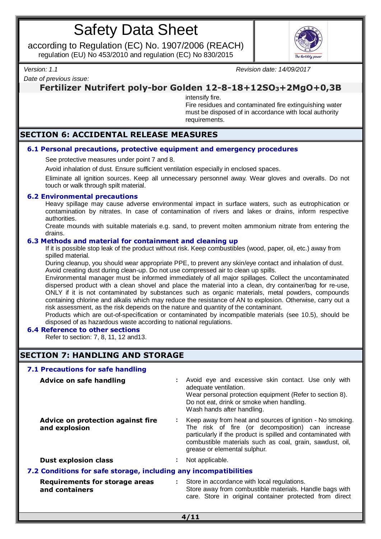according to Regulation (EC) No. 1907/2006 (REACH) regulation (EU) No 453/2010 and regulation (EC) No 830/2015



*Version: 1.1 Revision date: 14/09/2017*

*Date of previous issue:*

# **Fertilizer Nutrifert poly-bor Golden 12-8-18+12SO3+2MgO+0,3B**

intensify fire.

Fire residues and contaminated fire extinguishing water must be disposed of in accordance with local authority requirements.

# **SECTION 6: ACCIDENTAL RELEASE MEASURES**

## **6.1 Personal precautions, protective equipment and emergency procedures**

See protective measures under point 7 and 8.

Avoid inhalation of dust. Ensure sufficient ventilation especially in enclosed spaces.

Eliminate all ignition sources. Keep all unnecessary personnel away. Wear gloves and overalls. Do not touch or walk through spilt material.

#### **6.2 Environmental precautions**

Heavy spillage may cause adverse environmental impact in surface waters, such as eutrophication or contamination by nitrates. In case of contamination of rivers and lakes or drains, inform respective authorities.

Create mounds with suitable materials e.g. sand, to prevent molten ammonium nitrate from entering the drains.

#### **6.3 Methods and material for containment and cleaning up**

If it is possible stop leak of the product without risk. Keep combustibles (wood, paper, oil, etc.) away from spilled material.

During cleanup, you should wear appropriate PPE, to prevent any skin/eye contact and inhalation of dust. Avoid creating dust during clean-up. Do not use compressed air to clean up spills.

Environmental manager must be informed immediately of all major spillages. Collect the uncontaminated dispersed product with a clean shovel and place the material into a clean, dry container/bag for re-use, ONLY if it is not contaminated by substances such as organic materials, metal powders, compounds containing chlorine and alkalis which may reduce the resistance of AN to explosion. Otherwise, carry out a risk assessment, as the risk depends on the nature and quantity of the contaminant.

Products which are out-of-specification or contaminated by incompatible materials (see 10.5), should be disposed of as hazardous waste according to national regulations.

## **6.4 Reference to other sections**

Refer to section: 7, 8, 11, 12 and13.

# **SECTION 7: HANDLING AND STORAGE**

| 7.1 Precautions for safe handling                                |                |                                                                                                                                                                                                                                                                           |  |  |
|------------------------------------------------------------------|----------------|---------------------------------------------------------------------------------------------------------------------------------------------------------------------------------------------------------------------------------------------------------------------------|--|--|
| <b>Advice on safe handling</b>                                   | ÷              | Avoid eye and excessive skin contact. Use only with<br>adequate ventilation.<br>Wear personal protection equipment (Refer to section 8).<br>Do not eat, drink or smoke when handling.<br>Wash hands after handling.                                                       |  |  |
| Advice on protection against fire<br>and explosion               | ÷              | Keep away from heat and sources of ignition - No smoking.<br>The risk of fire (or decomposition) can increase<br>particularly if the product is spilled and contaminated with<br>combustible materials such as coal, grain, sawdust, oil,<br>grease or elemental sulphur. |  |  |
| <b>Dust explosion class</b>                                      | $\blacksquare$ | Not applicable.                                                                                                                                                                                                                                                           |  |  |
| 7.2 Conditions for safe storage, including any incompatibilities |                |                                                                                                                                                                                                                                                                           |  |  |
| <b>Requirements for storage areas</b><br>and containers          | ÷              | Store in accordance with local regulations.<br>Store away from combustible materials. Handle bags with<br>care. Store in original container protected from direct                                                                                                         |  |  |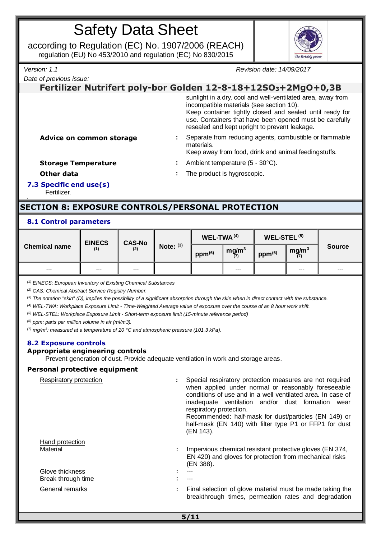according to Regulation (EC) No. 1907/2006 (REACH) regulation (EU) No 453/2010 and regulation (EC) No 830/2015



*Date of previous issue:*

*Version: 1.1 Revision date: 14/09/2017*

# **Fertilizer Nutrifert poly-bor Golden 12-8-18+12SO3+2MgO+0,3B**

sunlight in a dry, cool and well-ventilated area, away from incompatible materials (see section 10). Keep container tightly closed and sealed until ready for use. Containers that have been opened must be carefully resealed and kept upright to prevent leakage.

**Advice on common storage :** Separate from reducing agents, combustible or flammable materials.

Keep away from food, drink and animal feedingstuffs.

**Storage Temperature :** Ambient temperature (5 - 30°C).

**Other data in the product is hygroscopic.** 

**7.3 Specific end use(s)** Fertilizer.

# **SECTION 8: EXPOSURE CONTROLS/PERSONAL PROTECTION**

# **8.1 Control parameters**

| <b>EINECS</b>        | <b>CAS-No</b> |       | $WEL-TWA(4)$ |             | WEL-STEL <sup>(5)</sup>  |                    |                          |               |
|----------------------|---------------|-------|--------------|-------------|--------------------------|--------------------|--------------------------|---------------|
| <b>Chemical name</b> | (1)           | (2)   | Note: $(3)$  | $ppm^{(6)}$ | mg/m <sup>3</sup><br>(7) | ppm <sup>(6)</sup> | mg/m <sup>3</sup><br>(7) | <b>Source</b> |
| $---$                | $---$         | $---$ |              |             | $---$                    |                    | $--$                     | $---$         |

*(1) EINECS: European Inventory of Existing Chemical Substances*

*(2) CAS: Chemical Abstract Service Registry Number.*

*(3) The notation "skin" (D), implies the possibility of a significant absorption through the skin when in direct contact with the substance.*

*(4) WEL-TWA: Workplace Exposure Limit - Time-Weighted Average value of exposure over the course of an 8 hour work shift.*

*(5) WEL-STEL: Workplace Exposure Limit - Short-term exposure limit (15-minute reference period)*

*(6) ppm: parts per million volume in air (ml/m3).*

*(7) mg/m<sup>3</sup> : measured at a temperature of 20 °C and atmospheric pressure (101,3 kPa).*

# **8.2 Exposure controls**

## **Appropriate engineering controls**

Prevent generation of dust. Provide adequate ventilation in work and storage areas.

## **Personal protective equipment**

| Respiratory protection                |    | Special respiratory protection measures are not required<br>when applied under normal or reasonably foreseeable<br>conditions of use and in a well ventilated area. In case of<br>inadequate ventilation and/or dust formation<br>wear<br>respiratory protection.<br>Recommended: half-mask for dust/particles (EN 149) or<br>half-mask (EN 140) with filter type P1 or FFP1 for dust<br>(EN 143). |
|---------------------------------------|----|----------------------------------------------------------------------------------------------------------------------------------------------------------------------------------------------------------------------------------------------------------------------------------------------------------------------------------------------------------------------------------------------------|
| Hand protection<br>Material           | ÷. | Impervious chemical resistant protective gloves (EN 374,<br>EN 420) and gloves for protection from mechanical risks<br>(EN 388).                                                                                                                                                                                                                                                                   |
| Glove thickness<br>Break through time |    | $---$                                                                                                                                                                                                                                                                                                                                                                                              |
| General remarks                       |    | Final selection of glove material must be made taking the<br>breakthrough times, permeation rates and degradation                                                                                                                                                                                                                                                                                  |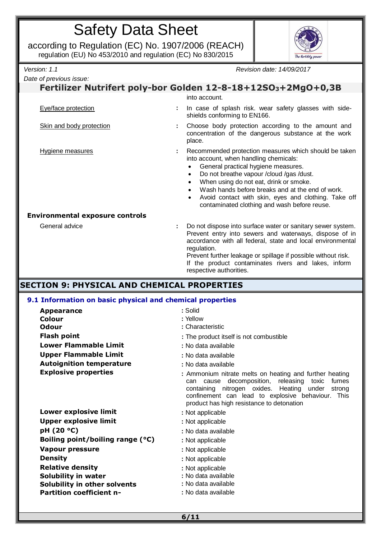according to Regulation (EC) No. 1907/2006 (REACH) regulation (EU) No 453/2010 and regulation (EC) No 830/2015



*Date of previous issue:*

*Version: 1.1 Revision date: 14/09/2017*

## **Fertilizer Nutrifert poly-bor Golden 12-8-18+12SO3+2MgO+0,3B** into account. Eye/face protection **:** In case of splash risk. wear safety glasses with sideshields conforming to EN166. Skin and body protection **:** Choose body protection according to the amount and concentration of the dangerous substance at the work place. Hygiene measures **:** Recommended protection measures which should be taken into account, when handling chemicals: General practical hygiene measures. Do not breathe vapour /cloud /gas /dust. When using do not eat, drink or smoke. Wash hands before breaks and at the end of work. Avoid contact with skin, eyes and clothing. Take off contaminated clothing and wash before reuse. **Environmental exposure controls** General advice **:** Do not dispose into surface water or sanitary sewer system. Prevent entry into sewers and waterways, dispose of in accordance with all federal, state and local environmental regulation. Prevent further leakage or spillage if possible without risk. If the product contaminates rivers and lakes, inform respective authorities.

# **SECTION 9: PHYSICAL AND CHEMICAL PROPERTIES**

# **9.1 Information on basic physical and chemical properties**

| <b>Appearance</b>                | : Solid                                                                                                                                                                                                                                                                  |
|----------------------------------|--------------------------------------------------------------------------------------------------------------------------------------------------------------------------------------------------------------------------------------------------------------------------|
| Colour                           | : Yellow                                                                                                                                                                                                                                                                 |
| <b>Odour</b>                     | : Characteristic                                                                                                                                                                                                                                                         |
| <b>Flash point</b>               | : The product itself is not combustible                                                                                                                                                                                                                                  |
| <b>Lower Flammable Limit</b>     | : No data available                                                                                                                                                                                                                                                      |
| <b>Upper Flammable Limit</b>     | : No data available                                                                                                                                                                                                                                                      |
| <b>Autoignition temperature</b>  | : No data available                                                                                                                                                                                                                                                      |
| <b>Explosive properties</b>      | : Ammonium nitrate melts on heating and further heating<br>cause decomposition, releasing toxic<br>fumes<br>can<br>containing nitrogen oxides. Heating under<br>strong<br>confinement can lead to explosive behaviour. This<br>product has high resistance to detonation |
| Lower explosive limit            | : Not applicable                                                                                                                                                                                                                                                         |
| <b>Upper explosive limit</b>     | : Not applicable                                                                                                                                                                                                                                                         |
| pH (20 °C)                       | : No data available                                                                                                                                                                                                                                                      |
| Boiling point/boiling range (°C) | : Not applicable                                                                                                                                                                                                                                                         |
| <b>Vapour pressure</b>           | : Not applicable                                                                                                                                                                                                                                                         |
| <b>Density</b>                   | : Not applicable                                                                                                                                                                                                                                                         |
| <b>Relative density</b>          | : Not applicable                                                                                                                                                                                                                                                         |
| Solubility in water              | : No data available                                                                                                                                                                                                                                                      |
| Solubility in other solvents     | : No data available                                                                                                                                                                                                                                                      |
| <b>Partition coefficient n-</b>  | : No data available                                                                                                                                                                                                                                                      |
|                                  |                                                                                                                                                                                                                                                                          |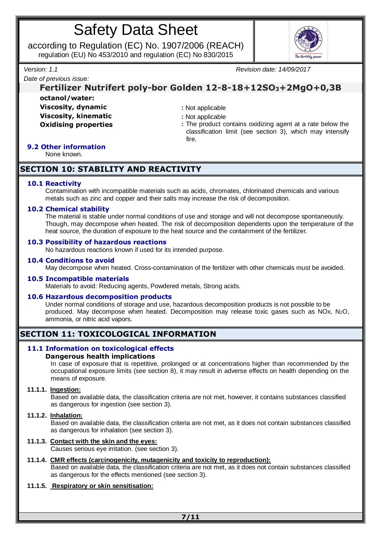according to Regulation (EC) No. 1907/2006 (REACH) regulation (EU) No 453/2010 and regulation (EC) No 830/2015



*Date of previous issue:*

*Version: 1.1 Revision date: 14/09/2017*

# **Fertilizer Nutrifert poly-bor Golden 12-8-18+12SO3+2MgO+0,3B octanol/water:**

**Viscosity, dynamic intervalsion :** Not applicable **Viscosity, kinematic in the state of the state of the Viscosity, kinematic in the state of the state of the state of the ST** 

- 
- **Oxidising properties :** The product contains oxidizing agent at a rate below the classification limit (see section 3), which may intensify fire.

# **9.2 Other information**

None known.

# **SECTION 10: STABILITY AND REACTIVITY**

## **10.1 Reactivity**

Contamination with incompatible materials such as acids, chromates, chlorinated chemicals and various metals such as zinc and copper and their salts may increase the risk of decomposition.

## **10.2 Chemical stability**

The material is stable under normal conditions of use and storage and will not decompose spontaneously. Though, may decompose when heated. The risk of decomposition dependents upon the temperature of the heat source, the duration of exposure to the heat source and the containment of the fertilizer.

#### **10.3 Possibility of hazardous reactions**

No hazardous reactions known if used for its intended purpose.

#### **10.4 Conditions to avoid**

May decompose when heated. Cross-contamination of the fertilizer with other chemicals must be avoided.

#### **10.5 Incompatible materials**

Materials to avoid: Reducing agents, Powdered metals, Strong acids.

## **10.6 Hazardous decomposition products**

Under normal conditions of storage and use, hazardous decomposition products is not possible to be produced. May decompose when heated. Decomposition may release toxic gases such as NOx, N2O, ammonia, or nitric acid vapors.

# **SECTION 11: TOXICOLOGICAL INFORMATION**

#### **11.1 Information on toxicological effects Dangerous health implications**

In case of exposure that is repetitive, prolonged or at concentrations higher than recommended by the occupational exposure limits (see section 8), it may result in adverse effects on health depending on the means of exposure.

#### **11.1.1. Ingestion:**

Based on available data, the classification criteria are not met, however, it contains substances classified as dangerous for ingestion (see section 3).

## **11.1.2. Inhalation:**

Based on available data, the classification criteria are not met, as it does not contain substances classified as dangerous for inhalation (see section 3).

## **11.1.3. Contact with the skin and the eyes:**

Causes serious eye irritation. (see section 3).

# **11.1.4. CMR effects (carcinogenicity, mutagenicity and toxicity to reproduction):**

Based on available data, the classification criteria are not met, as it does not contain substances classified as dangerous for the effects mentioned (see section 3).

## **11.1.5. Respiratory or skin sensitisation:**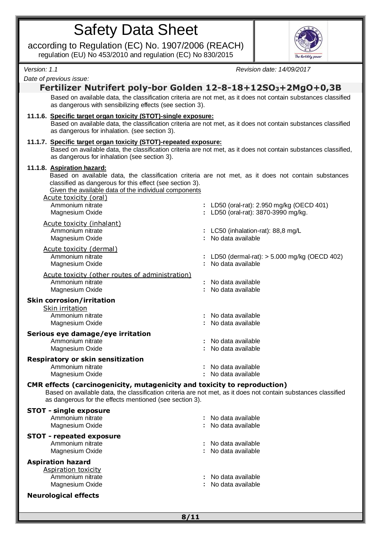according to Regulation (EC) No. 1907/2006 (REACH) regulation (EU) No 453/2010 and regulation (EC) No 830/2015



*Version: 1.1 Revision date: 14/09/2017*

*Date of previous issue:*

## **Fertilizer Nutrifert poly-bor Golden 12-8-18+12SO3+2MgO+0,3B** Based on available data, the classification criteria are not met, as it does not contain substances classified as dangerous with sensibilizing effects (see section 3).

#### **11.1.6. Specific target organ toxicity (STOT)-single exposure:**

Based on available data, the classification criteria are not met, as it does not contain substances classified as dangerous for inhalation. (see section 3).

#### **11.1.7. Specific target organ toxicity (STOT)-repeated exposure:**

Based on available data, the classification criteria are not met, as it does not contain substances classified, as dangerous for inhalation (see section 3).

#### **11.1.8. Aspiration hazard:**

**STOT - single exposure**

Based on available data, the classification criteria are not met, as it does not contain substances classified as dangerous for this effect (see section 3).

Given the available data of the individual components

| <u>Acute toxicity (oral)</u><br>Ammonium nitrate<br>Magnesium Oxide                        | : LD50 (oral-rat): 2.950 mg/kg (OECD 401)<br>: LD50 (oral-rat): 3870-3990 mg/kg. |
|--------------------------------------------------------------------------------------------|----------------------------------------------------------------------------------|
| Acute toxicity (inhalant)<br>Ammonium nitrate<br>Magnesium Oxide                           | : LC50 (inhalation-rat): $88,8 \text{ mg/L}$<br>No data available                |
| Acute toxicity (dermal)<br>Ammonium nitrate<br>Magnesium Oxide                             | LD50 (dermal-rat): $>$ 5.000 mg/kg (OECD 402)<br>No data available               |
| Acute toxicity (other routes of administration)<br>Ammonium nitrate<br>Magnesium Oxide     | : No data available<br>No data available                                         |
| <b>Skin corrosion/irritation</b><br>Skin irritation<br>Ammonium nitrate<br>Magnesium Oxide | : No data available<br>: No data available                                       |
| Serious eye damage/eye irritation<br>Ammonium nitrate<br>Magnesium Oxide                   | : No data available<br>No data available                                         |
| <b>Respiratory or skin sensitization</b><br>Ammonium nitrate<br>Magnesium Oxide            | : No data available<br>No data available                                         |
| $\cap$ MD offects (corsinesemisity mutosemisity and tevisity to repreduction)              |                                                                                  |

**CMR effects (carcinogenicity, mutagenicity and toxicity to reproduction)**

Based on available data, the classification criteria are not met, as it does not contain substances classified as dangerous for the effects mentioned (see section 3).

| : No data available |
|---------------------|
| : No data available |
|                     |
| : No data available |
| : No data available |
|                     |
|                     |
| : No data available |
| : No data available |
|                     |
|                     |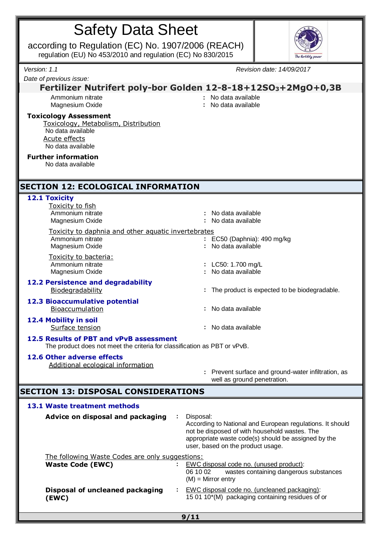| <b>Safety Data Sheet</b> |
|--------------------------|
|--------------------------|

according to Regulation (EC) No. 1907/2006 (REACH) regulation (EU) No 453/2010 and regulation (EC) No 830/2015



| Version: 1.1                                                                                                                    | Revision date: 14/09/2017                                                                                                                                                                                           |  |  |
|---------------------------------------------------------------------------------------------------------------------------------|---------------------------------------------------------------------------------------------------------------------------------------------------------------------------------------------------------------------|--|--|
| Date of previous issue:                                                                                                         |                                                                                                                                                                                                                     |  |  |
|                                                                                                                                 | Fertilizer Nutrifert poly-bor Golden 12-8-18+12SO <sub>3</sub> +2MgO+0,3B                                                                                                                                           |  |  |
| Ammonium nitrate<br>Magnesium Oxide                                                                                             | No data available<br>: No data available                                                                                                                                                                            |  |  |
| <b>Toxicology Assessment</b><br>Toxicology, Metabolism, Distribution<br>No data available<br>Acute effects<br>No data available |                                                                                                                                                                                                                     |  |  |
| <b>Further information</b><br>No data available                                                                                 |                                                                                                                                                                                                                     |  |  |
| <b>SECTION 12: ECOLOGICAL INFORMATION</b>                                                                                       |                                                                                                                                                                                                                     |  |  |
| 12.1 Toxicity<br>Toxicity to fish<br>Ammonium nitrate<br>Magnesium Oxide<br>Toxicity to daphnia and other aquatic invertebrates | No data available<br>No data available                                                                                                                                                                              |  |  |
| Ammonium nitrate<br>Magnesium Oxide                                                                                             | : EC50 (Daphnia): 490 mg/kg<br>No data available                                                                                                                                                                    |  |  |
| Toxicity to bacteria:<br>Ammonium nitrate<br>Magnesium Oxide                                                                    | : LC50: 1.700 mg/L<br>: No data available                                                                                                                                                                           |  |  |
| 12.2 Persistence and degradability<br>Biodegradability                                                                          | : The product is expected to be biodegradable.                                                                                                                                                                      |  |  |
| <b>12.3 Bioaccumulative potential</b><br>Bioaccumulation                                                                        | No data available                                                                                                                                                                                                   |  |  |
| 12.4 Mobility in soil<br>Surface tension                                                                                        | : No data available                                                                                                                                                                                                 |  |  |
| 12.5 Results of PBT and vPvB assessment<br>The product does not meet the criteria for classification as PBT or vPvB.            |                                                                                                                                                                                                                     |  |  |
| 12.6 Other adverse effects<br>Additional ecological information                                                                 | Prevent surface and ground-water infiltration, as<br>well as ground penetration.                                                                                                                                    |  |  |
| <b>SECTION 13: DISPOSAL CONSIDERATIONS</b>                                                                                      |                                                                                                                                                                                                                     |  |  |
| 13.1 Waste treatment methods                                                                                                    |                                                                                                                                                                                                                     |  |  |
| Advice on disposal and packaging                                                                                                | Disposal:<br>According to National and European regulations. It should<br>not be disposed of with household wastes. The<br>appropriate waste code(s) should be assigned by the<br>user, based on the product usage. |  |  |
| The following Waste Codes are only suggestions:<br><b>Waste Code (EWC)</b>                                                      | EWC disposal code no. (unused product):<br>wastes containing dangerous substances<br>06 10 02<br>$(M)$ = Mirror entry                                                                                               |  |  |
| Disposal of uncleaned packaging<br>(EWC)                                                                                        | EWC disposal code no. (uncleaned packaging):<br>15 01 10*(M) packaging containing residues of or                                                                                                                    |  |  |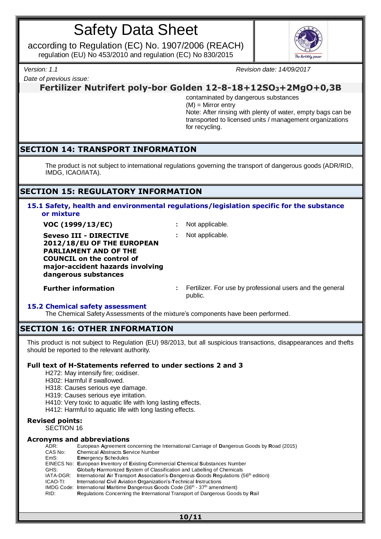according to Regulation (EC) No. 1907/2006 (REACH) regulation (EU) No 453/2010 and regulation (EC) No 830/2015



*Date of previous issue:*

*Version: 1.1 Revision date: 14/09/2017*

**Fertilizer Nutrifert poly-bor Golden 12-8-18+12SO3+2MgO+0,3B**

contaminated by dangerous substances (M) = Mirror entry Note: After rinsing with plenty of water, empty bags can be transported to licensed units / management organizations for recycling.

# **SECTION 14: TRANSPORT INFORMATION**

The product is not subject to international regulations governing the transport of dangerous goods (ADR/RID, IMDG, ICAO/IATA).

# **SECTION 15: REGULATORY INFORMATION**

## **15.1 Safety, health and environmental regulations/legislation specific for the substance or mixture**

**VOC (1999/13/EC) :** Not applicable.

**Seveso III - DIRECTIVE 2012/18/EU OF THE EUROPEAN PARLIAMENT AND OF THE COUNCIL on the control of major-accident hazards involving dangerous substances**

**:** Not applicable.

**Further information bidding in the set of the series of the series and the general conduct of the general** public.

## **15.2 Chemical safety assessment**

The Chemical Safety Assessments of the mixture's components have been performed.

# **SECTION 16: OTHER INFORMATION**

This product is not subject to Regulation (EU) 98/2013, but all suspicious transactions, disappearances and thefts should be reported to the relevant authority.

## **Full text of H-Statements referred to under sections 2 and 3**

H272: May intensify fire; oxidiser.

H302: Harmful if swallowed.

H318: Causes serious eye damage.

- H319: Causes serious eye irritation.
- H410: Very toxic to aquatic life with long lasting effects.
- H412: Harmful to aquatic life with long lasting effects.

## **Revised points:**

SECTION 16

# **Acronyms and abbreviations**

| ADR:      | European Agreement concerning the International Carriage of Dangerous Goods by Road (2015)       |
|-----------|--------------------------------------------------------------------------------------------------|
| CAS No:   | <b>Chemical Abstracts Service Number</b>                                                         |
| EmS:      | <b>Emergency Schedules</b>                                                                       |
|           | EINECS No: European Inventory of Existing Commercial Chemical Substances Number                  |
| GHS:      | Globally Harmonized System of Classification and Labelling of Chemicals                          |
| IATA-DGR: | International Air Transport Association's-Dangerous Goods Regulations (56 <sup>th</sup> edition) |
| ICAO-TI:  | International Civil Aviation Organization's-Technical Instructions                               |
|           | IMDG Code: International Maritime Dangerous Goods Code $(36th - 37th$ amendment)                 |
| RID:      | <b>Requlations Concerning the International Transport of Dangerous Goods by Rail</b>             |
|           |                                                                                                  |